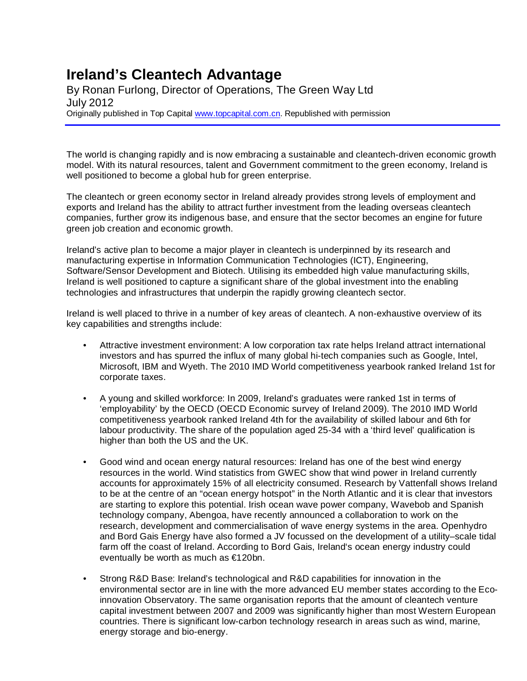## **Ireland's Cleantech Advantage**

By Ronan Furlong, Director of Operations, The Green Way Ltd July 2012 Originally published in Top Ca[pital www.topcapital.com](http://www.topcapital.com.cn/).cn. Republished with permission

The world is changing rapidly and is now embracing a sustainable and cleantech-driven economic growth model. With its natural resources, talent and Government commitment to the green economy, Ireland is well positioned to become a global hub for green enterprise.

The cleantech or green economy sector in Ireland already provides strong levels of employment and exports and Ireland has the ability to attract further investment from the leading overseas cleantech companies, further grow its indigenous base, and ensure that the sector becomes an engine for future green job creation and economic growth.

Ireland's active plan to become a major player in cleantech is underpinned by its research and manufacturing expertise in Information Communication Technologies (ICT), Engineering, Software/Sensor Development and Biotech. Utilising its embedded high value manufacturing skills, Ireland is well positioned to capture a significant share of the global investment into the enabling technologies and infrastructures that underpin the rapidly growing cleantech sector.

Ireland is well placed to thrive in a number of key areas of cleantech. A non-exhaustive overview of its key capabilities and strengths include:

- Attractive investment environment: A low corporation tax rate helps Ireland attract international investors and has spurred the influx of many global hi-tech companies such as Google, Intel, Microsoft, IBM and Wyeth. The 2010 IMD World competitiveness yearbook ranked Ireland 1st for corporate taxes.
- A young and skilled workforce: In 2009, Ireland's graduates were ranked 1st in terms of 'employability' by the OECD (OECD Economic survey of Ireland 2009). The 2010 IMD World competitiveness yearbook ranked Ireland 4th for the availability of skilled labour and 6th for labour productivity. The share of the population aged 25-34 with a 'third level' qualification is higher than both the US and the UK.
- Good wind and ocean energy natural resources: Ireland has one of the best wind energy resources in the world. Wind statistics from GWEC show that wind power in Ireland currently accounts for approximately 15% of all electricity consumed. Research by Vattenfall shows Ireland to be at the centre of an "ocean energy hotspot" in the North Atlantic and it is clear that investors are starting to explore this potential. Irish ocean wave power company, Wavebob and Spanish technology company, Abengoa, have recently announced a collaboration to work on the research, development and commercialisation of wave energy systems in the area. Openhydro and Bord Gais Energy have also formed a JV focussed on the development of a utility–scale tidal farm off the coast of Ireland. According to Bord Gais, Ireland's ocean energy industry could eventually be worth as much as €120bn.
- Strong R&D Base: Ireland's technological and R&D capabilities for innovation in the environmental sector are in line with the more advanced EU member states according to the Ecoinnovation Observatory. The same organisation reports that the amount of cleantech venture capital investment between 2007 and 2009 was significantly higher than most Western European countries. There is significant low-carbon technology research in areas such as wind, marine, energy storage and bio-energy.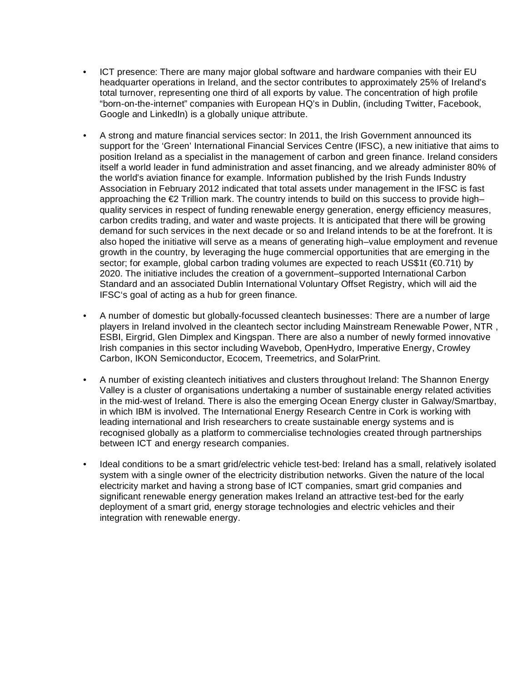- ICT presence: There are many major global software and hardware companies with their EU headquarter operations in Ireland, and the sector contributes to approximately 25% of Ireland's total turnover, representing one third of all exports by value. The concentration of high profile "born-on-the-internet" companies with European HQ's in Dublin, (including Twitter, Facebook, Google and LinkedIn) is a globally unique attribute.
- A strong and mature financial services sector: In 2011, the Irish Government announced its support for the 'Green' International Financial Services Centre (IFSC), a new initiative that aims to position Ireland as a specialist in the management of carbon and green finance. Ireland considers itself a world leader in fund administration and asset financing, and we already administer 80% of the world's aviation finance for example. Information published by the Irish Funds Industry Association in February 2012 indicated that total assets under management in the IFSC is fast approaching the  $E2$  Trillion mark. The country intends to build on this success to provide high– quality services in respect of funding renewable energy generation, energy efficiency measures, carbon credits trading, and water and waste projects. It is anticipated that there will be growing demand for such services in the next decade or so and Ireland intends to be at the forefront. It is also hoped the initiative will serve as a means of generating high–value employment and revenue growth in the country, by leveraging the huge commercial opportunities that are emerging in the sector; for example, global carbon trading volumes are expected to reach US\$1t (€0.71t) by 2020. The initiative includes the creation of a government–supported International Carbon Standard and an associated Dublin International Voluntary Offset Registry, which will aid the IFSC's goal of acting as a hub for green finance.
- A number of domestic but globally-focussed cleantech businesses: There are a number of large players in Ireland involved in the cleantech sector including Mainstream Renewable Power, NTR , ESBI, Eirgrid, Glen Dimplex and Kingspan. There are also a number of newly formed innovative Irish companies in this sector including Wavebob, OpenHydro, Imperative Energy, Crowley Carbon, IKON Semiconductor, Ecocem, Treemetrics, and SolarPrint.
- A number of existing cleantech initiatives and clusters throughout Ireland: The Shannon Energy Valley is a cluster of organisations undertaking a number of sustainable energy related activities in the mid-west of Ireland. There is also the emerging Ocean Energy cluster in Galway/Smartbay, in which IBM is involved. The International Energy Research Centre in Cork is working with leading international and Irish researchers to create sustainable energy systems and is recognised globally as a platform to commercialise technologies created through partnerships between ICT and energy research companies.
- Ideal conditions to be a smart grid/electric vehicle test-bed: Ireland has a small, relatively isolated system with a single owner of the electricity distribution networks. Given the nature of the local electricity market and having a strong base of ICT companies, smart grid companies and significant renewable energy generation makes Ireland an attractive test-bed for the early deployment of a smart grid, energy storage technologies and electric vehicles and their integration with renewable energy.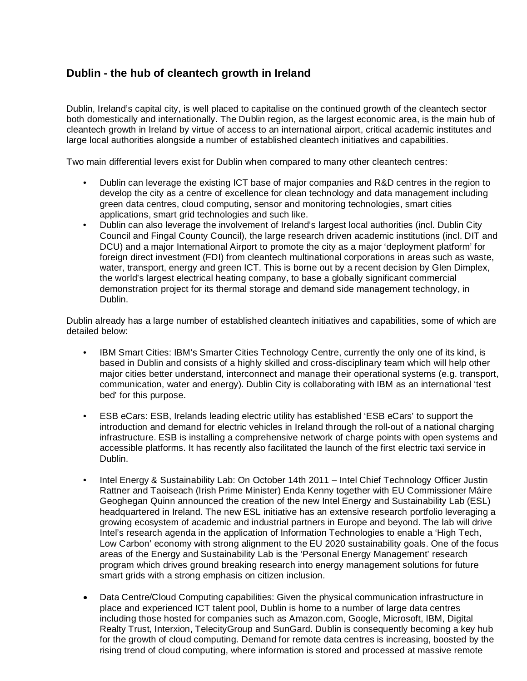## **Dublin - the hub of cleantech growth in Ireland**

Dublin, Ireland's capital city, is well placed to capitalise on the continued growth of the cleantech sector both domestically and internationally. The Dublin region, as the largest economic area, is the main hub of cleantech growth in Ireland by virtue of access to an international airport, critical academic institutes and large local authorities alongside a number of established cleantech initiatives and capabilities.

Two main differential levers exist for Dublin when compared to many other cleantech centres:

- Dublin can leverage the existing ICT base of major companies and R&D centres in the region to develop the city as a centre of excellence for clean technology and data management including green data centres, cloud computing, sensor and monitoring technologies, smart cities applications, smart grid technologies and such like.
- Dublin can also leverage the involvement of Ireland's largest local authorities (incl. Dublin City Council and Fingal County Council), the large research driven academic institutions (incl. DIT and DCU) and a major International Airport to promote the city as a major 'deployment platform' for foreign direct investment (FDI) from cleantech multinational corporations in areas such as waste, water, transport, energy and green ICT. This is borne out by a recent decision by Glen Dimplex, the world's largest electrical heating company, to base a globally significant commercial demonstration project for its thermal storage and demand side management technology, in Dublin.

Dublin already has a large number of established cleantech initiatives and capabilities, some of which are detailed below:

- IBM Smart Cities: IBM's Smarter Cities Technology Centre, currently the only one of its kind, is based in Dublin and consists of a highly skilled and cross-disciplinary team which will help other major cities better understand, interconnect and manage their operational systems (e.g. transport, communication, water and energy). Dublin City is collaborating with IBM as an international 'test bed' for this purpose.
- ESB eCars: ESB, Irelands leading electric utility has established 'ESB eCars' to support the introduction and demand for electric vehicles in Ireland through the roll-out of a national charging infrastructure. ESB is installing a comprehensive network of charge points with open systems and accessible platforms. It has recently also facilitated the launch of the first electric taxi service in Dublin.
- Intel Energy & Sustainability Lab: On October 14th 2011 Intel Chief Technology Officer Justin Rattner and Taoiseach (Irish Prime Minister) Enda Kenny together with EU Commissioner Máire Geoghegan Quinn announced the creation of the new Intel Energy and Sustainability Lab (ESL) headquartered in Ireland. The new ESL initiative has an extensive research portfolio leveraging a growing ecosystem of academic and industrial partners in Europe and beyond. The lab will drive Intel's research agenda in the application of Information Technologies to enable a 'High Tech, Low Carbon' economy with strong alignment to the EU 2020 sustainability goals. One of the focus areas of the Energy and Sustainability Lab is the 'Personal Energy Management' research program which drives ground breaking research into energy management solutions for future smart grids with a strong emphasis on citizen inclusion.
- Data Centre/Cloud Computing capabilities: Given the physical communication infrastructure in place and experienced ICT talent pool, Dublin is home to a number of large data centres including those hosted for companies such as Amazon.com, Google, Microsoft, IBM, Digital Realty Trust, Interxion, TelecityGroup and SunGard. Dublin is consequently becoming a key hub for the growth of cloud computing. Demand for remote data centres is increasing, boosted by the rising trend of cloud computing, where information is stored and processed at massive remote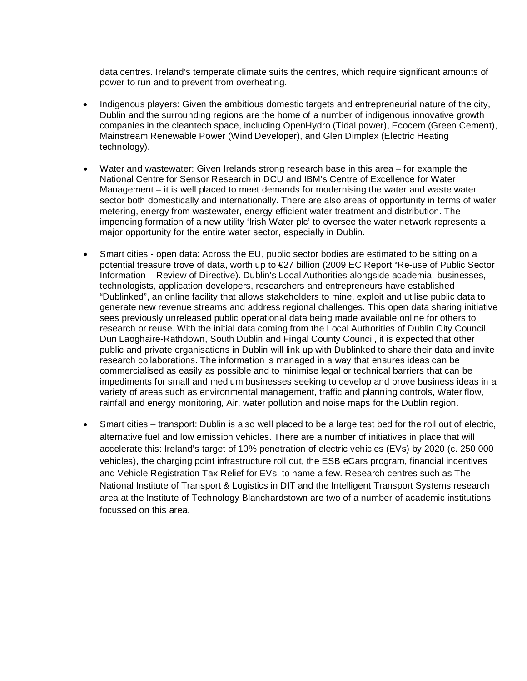data centres. Ireland's temperate climate suits the centres, which require significant amounts of power to run and to prevent from overheating.

- Indigenous players: Given the ambitious domestic targets and entrepreneurial nature of the city, Dublin and the surrounding regions are the home of a number of indigenous innovative growth companies in the cleantech space, including OpenHydro (Tidal power), Ecocem (Green Cement), Mainstream Renewable Power (Wind Developer), and Glen Dimplex (Electric Heating technology).
- Water and wastewater: Given Irelands strong research base in this area for example the National Centre for Sensor Research in DCU and IBM's Centre of Excellence for Water Management – it is well placed to meet demands for modernising the water and waste water sector both domestically and internationally. There are also areas of opportunity in terms of water metering, energy from wastewater, energy efficient water treatment and distribution. The impending formation of a new utility 'Irish Water plc' to oversee the water network represents a major opportunity for the entire water sector, especially in Dublin.
- Smart cities open data: Across the EU, public sector bodies are estimated to be sitting on a potential treasure trove of data, worth up to €27 billion (2009 EC Report "Re-use of Public Sector Information – Review of Directive). Dublin's Local Authorities alongside academia, businesses, technologists, application developers, researchers and entrepreneurs have established "Dublinked", an online facility that allows stakeholders to mine, exploit and utilise public data to generate new revenue streams and address regional challenges. This open data sharing initiative sees previously unreleased public operational data being made available online for others to research or reuse. With the initial data coming from the Local Authorities of Dublin City Council, Dun Laoghaire-Rathdown, South Dublin and Fingal County Council, it is expected that other public and private organisations in Dublin will link up with Dublinked to share their data and invite research collaborations. The information is managed in a way that ensures ideas can be commercialised as easily as possible and to minimise legal or technical barriers that can be impediments for small and medium businesses seeking to develop and prove business ideas in a variety of areas such as environmental management, traffic and planning controls, Water flow, rainfall and energy monitoring, Air, water pollution and noise maps for the Dublin region.
- Smart cities transport: Dublin is also well placed to be a large test bed for the roll out of electric, alternative fuel and low emission vehicles. There are a number of initiatives in place that will accelerate this: Ireland's target of 10% penetration of electric vehicles (EVs) by 2020 (c. 250,000 vehicles), the charging point infrastructure roll out, the ESB eCars program, financial incentives and Vehicle Registration Tax Relief for EVs, to name a few. Research centres such as The National Institute of Transport & Logistics in DIT and the Intelligent Transport Systems research area at the Institute of Technology Blanchardstown are two of a number of academic institutions focussed on this area.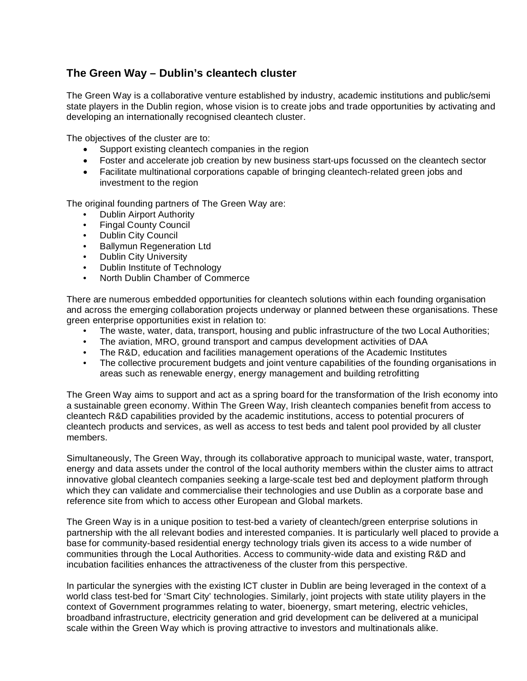## **The Green Way – Dublin's cleantech cluster**

The Green Way is a collaborative venture established by industry, academic institutions and public/semi state players in the Dublin region, whose vision is to create jobs and trade opportunities by activating and developing an internationally recognised cleantech cluster.

The objectives of the cluster are to:

- Support existing cleantech companies in the region
- Foster and accelerate job creation by new business start-ups focussed on the cleantech sector
- Facilitate multinational corporations capable of bringing cleantech-related green jobs and investment to the region

The original founding partners of The Green Way are:

- Dublin Airport Authority
- Fingal County Council
- Dublin City Council
- Ballymun Regeneration Ltd
- Dublin City University
- Dublin Institute of Technology
- North Dublin Chamber of Commerce

There are numerous embedded opportunities for cleantech solutions within each founding organisation and across the emerging collaboration projects underway or planned between these organisations. These green enterprise opportunities exist in relation to:

- The waste, water, data, transport, housing and public infrastructure of the two Local Authorities;
- The aviation, MRO, ground transport and campus development activities of DAA
- The R&D, education and facilities management operations of the Academic Institutes
- The collective procurement budgets and joint venture capabilities of the founding organisations in areas such as renewable energy, energy management and building retrofitting

The Green Way aims to support and act as a spring board for the transformation of the Irish economy into a sustainable green economy. Within The Green Way, Irish cleantech companies benefit from access to cleantech R&D capabilities provided by the academic institutions, access to potential procurers of cleantech products and services, as well as access to test beds and talent pool provided by all cluster members.

Simultaneously, The Green Way, through its collaborative approach to municipal waste, water, transport, energy and data assets under the control of the local authority members within the cluster aims to attract innovative global cleantech companies seeking a large-scale test bed and deployment platform through which they can validate and commercialise their technologies and use Dublin as a corporate base and reference site from which to access other European and Global markets.

The Green Way is in a unique position to test-bed a variety of cleantech/green enterprise solutions in partnership with the all relevant bodies and interested companies. It is particularly well placed to provide a base for community-based residential energy technology trials given its access to a wide number of communities through the Local Authorities. Access to community-wide data and existing R&D and incubation facilities enhances the attractiveness of the cluster from this perspective.

In particular the synergies with the existing ICT cluster in Dublin are being leveraged in the context of a world class test-bed for 'Smart City' technologies. Similarly, joint projects with state utility players in the context of Government programmes relating to water, bioenergy, smart metering, electric vehicles, broadband infrastructure, electricity generation and grid development can be delivered at a municipal scale within the Green Way which is proving attractive to investors and multinationals alike.